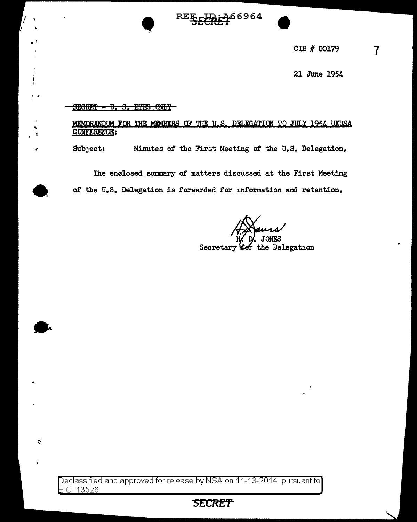66964غ

CIB # 00179

21 June 1954

# SEORET - U. S. EIES CALY MEMORANDUM FOR THE MEMBERS OF THE U.S. DELEGATION TO JULY 1954 UKUSA CONFERENCE: Minutes of the First Meeting of the U.S. Delegation. Subject:

The enclosed summary of matters discussed at the First Meeting of the U.S. Delegation is forwarded for information and retention.

Secretary Ler the Delegation

Declassified and approved for release by NSA on 11-13-2014 pursuant to  $E.O. 13526$ 

 $\hat{Q}$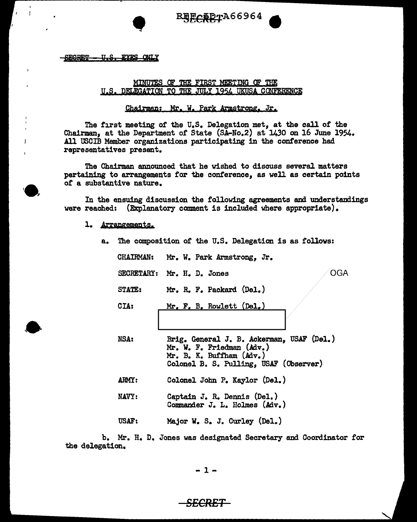

U.S. EYES ONLY **SEGRET** 

#### MINUTES OF THE FIRST MEETING OF THE U.S. DELEGATION TO THE JULY 1954 UKUSA CONFERENCE

### Chairman: Mr. W. Park Armstrong, Jr.

The first meeting of the U.S. Delegation met, at the call of the Chairman, at the Department of State (SA-No.2) at 1430 on 16 June 1954. All USCIB Member organizations participating in the conference had representatives present.

The Chairman announced that he wished to discuss several matters pertaining to arrangements for the conference, as well as certain points or a substantive nature.

In the ensuing discussion the following agreements and understandings were reached: (Explanatory comment is included where appropriate).

- 1. Arrangements.
	- a. The composition of the U.S. Delegation is as follows: CHAIRMAN: Mr. W. Park Armstrong. Jr. SECRETARY: Mr. H. D. Jones STATE: CIA: Mr. R. F. Packard (Del.) Mr, F. B, Rowlett (Del,) OGA NSA: Brig, General J. B. Ackerman, USAF (Del.) Mr. W. F. Friedman (Adv.) Mr. B. K. Buffham (Adv.) Colonel B. s. Pulling, USAF (Observer) ARMY: Colonel John P. Kaylor (Del.) NAVY: Captain J, R. Dennis (Del.) Commander J. L. Holmes (Adv,) USAF: Major w. s. J. Curley (Del.)

b. Mr. H. D. Jones was designated Secretary and Coordinator *tor*  the delegation,

-1-

## *SECRET*